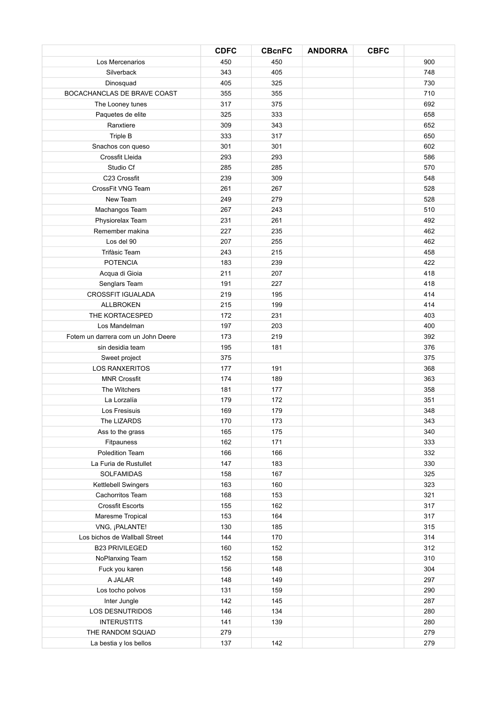|                                    | <b>CDFC</b> | <b>CBcnFC</b> | <b>ANDORRA</b> | <b>CBFC</b> |     |
|------------------------------------|-------------|---------------|----------------|-------------|-----|
| Los Mercenarios                    | 450         | 450           |                |             | 900 |
| Silverback                         | 343         | 405           |                |             | 748 |
| Dinosquad                          | 405         | 325           |                |             | 730 |
| BOCACHANCLAS DE BRAVE COAST        | 355         | 355           |                |             | 710 |
| The Looney tunes                   | 317         | 375           |                |             | 692 |
| Paquetes de elite                  | 325         | 333           |                |             | 658 |
| Ranxtiere                          | 309         | 343           |                |             | 652 |
| Triple B                           | 333         | 317           |                |             | 650 |
| Snachos con queso                  | 301         | 301           |                |             | 602 |
| Crossfit Lleida                    | 293         | 293           |                |             | 586 |
| Studio Cf                          | 285         | 285           |                |             | 570 |
| C23 Crossfit                       | 239         | 309           |                |             | 548 |
| CrossFit VNG Team                  | 261         | 267           |                |             | 528 |
| New Team                           | 249         | 279           |                |             | 528 |
| Machangos Team                     | 267         | 243           |                |             | 510 |
| Physiorelax Team                   | 231         | 261           |                |             | 492 |
| Remember makina                    | 227         | 235           |                |             | 462 |
| Los del 90                         | 207         | 255           |                |             | 462 |
| Trifàsic Team                      | 243         | 215           |                |             | 458 |
| <b>POTENCIA</b>                    | 183         | 239           |                |             | 422 |
| Acqua di Gioia                     | 211         | 207           |                |             | 418 |
| Senglars Team                      | 191         | 227           |                |             | 418 |
| <b>CROSSFIT IGUALADA</b>           | 219         | 195           |                |             | 414 |
| <b>ALLBROKEN</b>                   | 215         | 199           |                |             | 414 |
| THE KORTACESPED                    | 172         | 231           |                |             | 403 |
| Los Mandelman                      | 197         | 203           |                |             | 400 |
| Fotem un darrera com un John Deere | 173         | 219           |                |             | 392 |
| sin desidia team                   | 195         | 181           |                |             | 376 |
| Sweet project                      | 375         |               |                |             | 375 |
| <b>LOS RANXERITOS</b>              | 177         | 191           |                |             | 368 |
| <b>MNR Crossfit</b>                | 174         | 189           |                |             | 363 |
| The Witchers                       | 181         | 177           |                |             | 358 |
| La Lorzalía                        | 179         | 172           |                |             | 351 |
| Los Fresisuis                      | 169         | 179           |                |             | 348 |
| The LIZARDS                        | 170         | 173           |                |             | 343 |
| Ass to the grass                   | 165         | 175           |                |             | 340 |
| Fitpauness                         | 162         | 171           |                |             | 333 |
| Poledition Team                    | 166         | 166           |                |             | 332 |
| La Furia de Rustullet              | 147         | 183           |                |             | 330 |
| SOLFAMIDAS                         | 158         | 167           |                |             | 325 |
| Kettlebell Swingers                | 163         | 160           |                |             | 323 |
| Cachorritos Team                   | 168         | 153           |                |             | 321 |
| <b>Crossfit Escorts</b>            | 155         | 162           |                |             | 317 |
| Maresme Tropical                   | 153         | 164           |                |             | 317 |
| VNG, ¡PALANTE!                     | 130         | 185           |                |             | 315 |
| Los bichos de Wallball Street      | 144         | 170           |                |             | 314 |
| <b>B23 PRIVILEGED</b>              | 160         | 152           |                |             | 312 |
| NoPlanxing Team                    | 152         | 158           |                |             | 310 |
| Fuck you karen                     | 156         | 148           |                |             | 304 |
| A JALAR                            | 148         | 149           |                |             | 297 |
| Los tocho polvos                   | 131         | 159           |                |             | 290 |
| Inter Jungle                       | 142         | 145           |                |             | 287 |
| LOS DESNUTRIDOS                    | 146         | 134           |                |             | 280 |
| <b>INTERUSTITS</b>                 | 141         | 139           |                |             | 280 |
| THE RANDOM SQUAD                   | 279         |               |                |             | 279 |
| La bestia y los bellos             | 137         | 142           |                |             | 279 |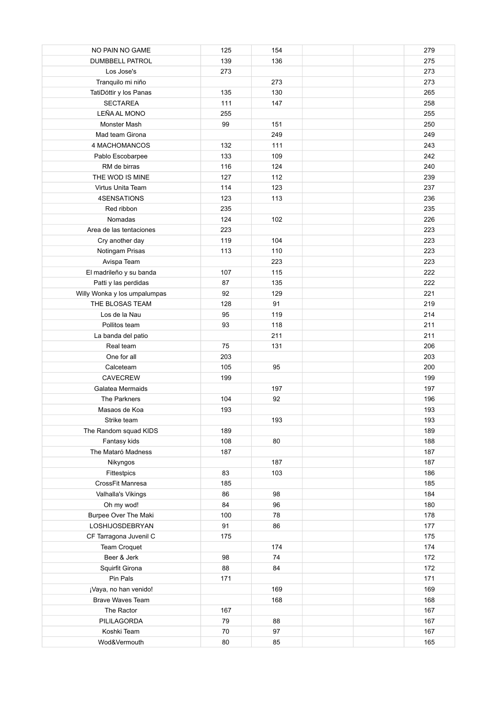| NO PAIN NO GAME              | 125    | 154       |  | 279        |
|------------------------------|--------|-----------|--|------------|
| <b>DUMBBELL PATROL</b>       | 139    | 136       |  | 275        |
| Los Jose's                   | 273    |           |  | 273        |
| Tranquilo mi niño            |        | 273       |  | 273        |
| TatiDóttir y los Panas       | 135    | 130       |  | 265        |
| <b>SECTAREA</b>              | 111    | 147       |  | 258        |
| LEÑA AL MONO                 | 255    |           |  | 255        |
| Monster Mash                 | 99     | 151       |  | 250        |
| Mad team Girona              |        | 249       |  | 249        |
| 4 MACHOMANCOS                | 132    | 111       |  | 243        |
| Pablo Escobarpee             | 133    | 109       |  | 242        |
| RM de birras                 | 116    | 124       |  | 240        |
| THE WOD IS MINE              | 127    | 112       |  | 239        |
| Virtus Unita Team            | 114    | 123       |  | 237        |
| 4SENSATIONS                  | 123    | 113       |  | 236        |
| Red ribbon                   | 235    |           |  | 235        |
| Nomadas                      | 124    | 102       |  | 226        |
| Area de las tentaciones      | 223    |           |  | 223        |
| Cry another day              | 119    | 104       |  | 223        |
| Notingam Prisas              | 113    | 110       |  | 223        |
| Avispa Team                  |        | 223       |  | 223        |
| El madrileño y su banda      | 107    | 115       |  | 222        |
| Patti y las perdidas         | 87     | 135       |  | 222        |
| Willy Wonka y los umpalumpas | 92     | 129       |  | 221        |
| THE BLOSAS TEAM              | 128    | 91        |  | 219        |
| Los de la Nau                | 95     | 119       |  | 214        |
| Pollitos team                | 93     | 118       |  | 211        |
| La banda del patio           |        | 211       |  | 211        |
| Real team                    | 75     | 131       |  | 206        |
| One for all                  | 203    |           |  | 203        |
| Calceteam                    | 105    | 95        |  | 200        |
| <b>CAVECREW</b>              | 199    |           |  | 199        |
|                              |        |           |  |            |
| Galatea Mermaids             | 104    | 197<br>92 |  | 197<br>196 |
| The Parkners                 | 193    |           |  | 193        |
| Masaos de Koa                |        |           |  |            |
| Strike team                  |        | 193       |  | 193        |
| The Random squad KIDS        | 189    |           |  | 189        |
| Fantasy kids                 | 108    | 80        |  | 188        |
| The Mataró Madness           | 187    |           |  | 187        |
| Nikyngos                     |        | 187       |  | 187        |
| Fittestpics                  | 83     | 103       |  | 186        |
| CrossFit Manresa             | 185    |           |  | 185        |
| Valhalla's Vikings           | 86     | 98        |  | 184        |
| Oh my wod!                   | 84     | 96        |  | 180        |
| <b>Burpee Over The Maki</b>  | 100    | 78        |  | 178        |
| LOSHIJOSDEBRYAN              | 91     | 86        |  | 177        |
| CF Tarragona Juvenil C       | 175    |           |  | 175        |
| Team Croquet                 |        | 174       |  | 174        |
| Beer & Jerk                  | 98     | 74        |  | 172        |
| Squirfit Girona              | 88     | 84        |  | 172        |
| Pin Pals                     | 171    |           |  | 171        |
| ¡Vaya, no han venido!        |        | 169       |  | 169        |
| Brave Waves Team             |        | 168       |  | 168        |
| The Ractor                   | 167    |           |  | 167        |
| PILILAGORDA                  | 79     | 88        |  | 167        |
| Koshki Team                  | $70\,$ | 97        |  | 167        |
| Wod&Vermouth                 | 80     | 85        |  | 165        |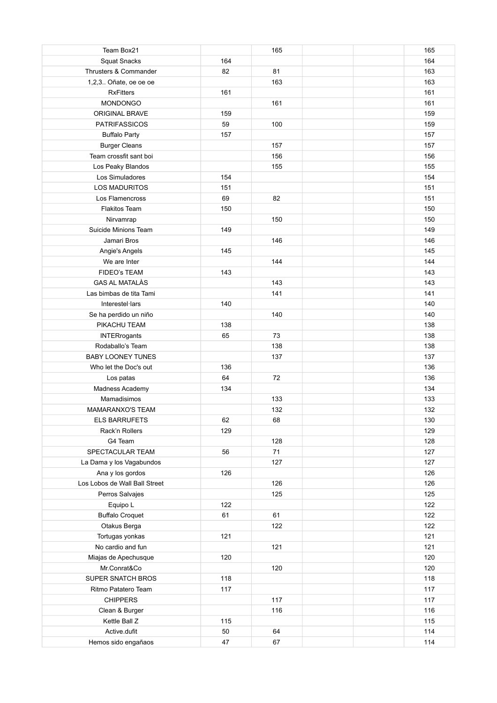| Team Box21                             |     | 165 | 165 |
|----------------------------------------|-----|-----|-----|
| <b>Squat Snacks</b>                    | 164 |     | 164 |
| Thrusters & Commander                  | 82  | 81  | 163 |
| 1,2,3 Oñate, oe oe oe                  |     | 163 | 163 |
| <b>RxFitters</b>                       | 161 |     | 161 |
| MONDONGO                               |     | 161 | 161 |
| <b>ORIGINAL BRAVE</b>                  | 159 |     | 159 |
| <b>PATRIFASSICOS</b>                   | 59  | 100 | 159 |
| <b>Buffalo Party</b>                   | 157 |     | 157 |
| <b>Burger Cleans</b>                   |     | 157 | 157 |
| Team crossfit sant boi                 |     | 156 | 156 |
| Los Peaky Blandos                      |     | 155 | 155 |
| Los Simuladores                        | 154 |     | 154 |
| <b>LOS MADURITOS</b>                   | 151 |     | 151 |
| Los Flamencross                        | 69  | 82  | 151 |
| <b>Flakitos Team</b>                   | 150 |     | 150 |
| Nirvamrap                              |     | 150 | 150 |
| Suicide Minions Team                   | 149 |     | 149 |
| Jamari Bros                            |     | 146 | 146 |
| Angie's Angels                         | 145 |     | 145 |
| We are Inter                           |     | 144 | 144 |
| <b>FIDEO's TEAM</b>                    | 143 |     | 143 |
| <b>GAS AL MATALÀS</b>                  |     | 143 | 143 |
| Las bimbas de tita Tami                |     | 141 | 141 |
| Interestel·lars                        | 140 |     | 140 |
| Se ha perdido un niño                  |     | 140 | 140 |
| PIKACHU TEAM                           | 138 |     | 138 |
| <b>INTERrogants</b>                    | 65  | 73  | 138 |
| Rodaballo's Team                       |     | 138 | 138 |
| <b>BABY LOONEY TUNES</b>               |     | 137 | 137 |
| Who let the Doc's out                  | 136 |     | 136 |
|                                        | 64  | 72  | 136 |
| Los patas                              | 134 |     | 134 |
| Madness Academy                        |     |     |     |
| Mamadisimos<br><b>MAMARANXO'S TEAM</b> |     | 133 | 133 |
|                                        |     | 132 | 132 |
| <b>ELS BARRUFETS</b>                   | 62  | 68  | 130 |
| Rack'n Rollers                         | 129 |     | 129 |
| G4 Team                                |     | 128 | 128 |
| SPECTACULAR TEAM                       | 56  | 71  | 127 |
| La Dama y los Vagabundos               |     | 127 | 127 |
| Ana y los gordos                       | 126 |     | 126 |
| Los Lobos de Wall Ball Street          |     | 126 | 126 |
| Perros Salvajes                        |     | 125 | 125 |
| Equipo L                               | 122 |     | 122 |
| <b>Buffalo Croquet</b>                 | 61  | 61  | 122 |
| Otakus Berga                           |     | 122 | 122 |
| Tortugas yonkas                        | 121 |     | 121 |
| No cardio and fun                      |     | 121 | 121 |
| Miajas de Apechusque                   | 120 |     | 120 |
| Mr.Conrat&Co                           |     | 120 | 120 |
| SUPER SNATCH BROS                      | 118 |     | 118 |
| Ritmo Patatero Team                    | 117 |     | 117 |
| <b>CHIPPERS</b>                        |     | 117 | 117 |
| Clean & Burger                         |     | 116 | 116 |
| Kettle Ball Z                          | 115 |     | 115 |
| Active.dufit                           | 50  | 64  | 114 |
| Hemos sido engañaos                    | 47  | 67  | 114 |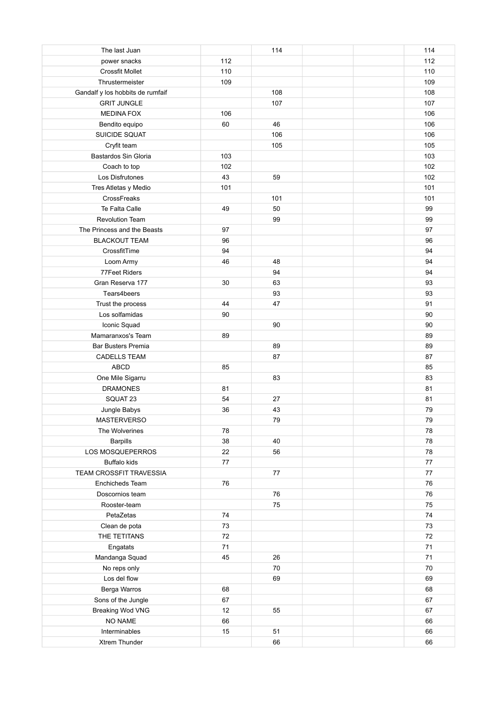| The last Juan                    |        | 114 | 114 |
|----------------------------------|--------|-----|-----|
| power snacks                     | 112    |     | 112 |
| Crossfit Mollet                  | 110    |     | 110 |
| Thrustermeister                  | 109    |     | 109 |
| Gandalf y los hobbits de rumfaif |        | 108 | 108 |
| <b>GRIT JUNGLE</b>               |        | 107 | 107 |
| <b>MEDINA FOX</b>                | 106    |     | 106 |
| Bendito equipo                   | 60     | 46  | 106 |
| SUICIDE SQUAT                    |        | 106 | 106 |
| Cryfit team                      |        | 105 | 105 |
| Bastardos Sin Gloria             | 103    |     | 103 |
| Coach to top                     | 102    |     | 102 |
| Los Disfrutones                  | 43     | 59  | 102 |
| Tres Atletas y Medio             | 101    |     | 101 |
| CrossFreaks                      |        | 101 | 101 |
| Te Falta Calle                   | 49     | 50  | 99  |
| <b>Revolution Team</b>           |        | 99  | 99  |
| The Princess and the Beasts      | 97     |     | 97  |
| <b>BLACKOUT TEAM</b>             | 96     |     | 96  |
| CrossfitTime                     | 94     |     | 94  |
| Loom Army                        | 46     | 48  | 94  |
| 77Feet Riders                    |        | 94  | 94  |
| Gran Reserva 177                 | 30     | 63  | 93  |
| Tears4beers                      |        | 93  | 93  |
| Trust the process                | 44     | 47  | 91  |
| Los solfamidas                   | 90     |     | 90  |
| Iconic Squad                     |        | 90  | 90  |
| Mamaranxos's Team                | 89     |     | 89  |
| <b>Bar Busters Premia</b>        |        | 89  | 89  |
| <b>CADELLS TEAM</b>              |        | 87  | 87  |
| <b>ABCD</b>                      | 85     |     | 85  |
| One Mile Sigarru                 |        | 83  | 83  |
| <b>DRAMONES</b>                  | 81     |     | 81  |
| SQUAT 23                         | 54     | 27  | 81  |
| Jungle Babys                     | 36     | 43  | 79  |
| <b>MASTERVERSO</b>               |        | 79  | 79  |
| The Wolverines                   | 78     |     | 78  |
| Barpills                         | 38     | 40  | 78  |
| LOS MOSQUEPERROS                 | 22     | 56  | 78  |
| <b>Buffalo kids</b>              | $77\,$ |     | 77  |
| TEAM CROSSFIT TRAVESSIA          |        | 77  | 77  |
| Enchicheds Team                  | 76     |     | 76  |
| Doscornios team                  |        | 76  | 76  |
| Rooster-team                     |        | 75  | 75  |
| PetaZetas                        | 74     |     | 74  |
| Clean de pota                    | 73     |     | 73  |
| THE TETITANS                     | 72     |     | 72  |
| Engatats                         | 71     |     | 71  |
| Mandanga Squad                   | 45     | 26  | 71  |
| No reps only                     |        | 70  | 70  |
| Los del flow                     |        | 69  | 69  |
| Berga Warros                     | 68     |     | 68  |
| Sons of the Jungle               | 67     |     | 67  |
| Breaking Wod VNG                 | 12     | 55  | 67  |
| NO NAME                          | 66     |     | 66  |
| Interminables                    | 15     | 51  | 66  |
| Xtrem Thunder                    |        | 66  | 66  |
|                                  |        |     |     |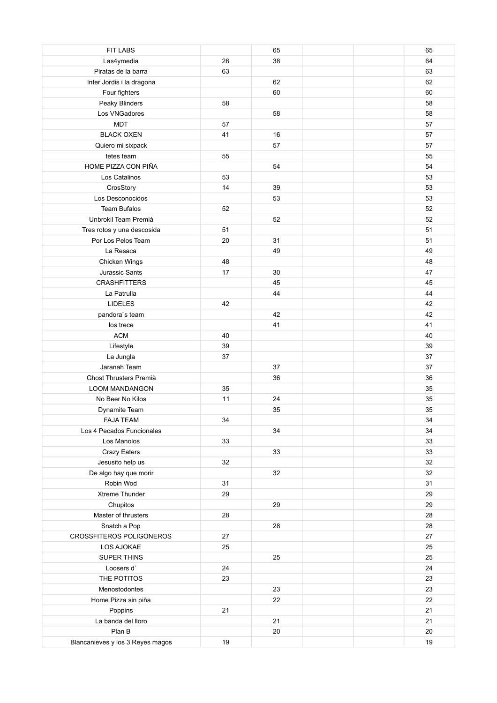| <b>FIT LABS</b>                  |    | 65 | 65 |
|----------------------------------|----|----|----|
| Las4ymedia                       | 26 | 38 | 64 |
| Piratas de la barra              | 63 |    | 63 |
| Inter Jordis i la dragona        |    | 62 | 62 |
| Four fighters                    |    | 60 | 60 |
| Peaky Blinders                   | 58 |    | 58 |
| Los VNGadores                    |    | 58 | 58 |
| <b>MDT</b>                       | 57 |    | 57 |
| <b>BLACK OXEN</b>                | 41 | 16 | 57 |
| Quiero mi sixpack                |    | 57 | 57 |
| tetes team                       | 55 |    | 55 |
| HOME PIZZA CON PIÑA              |    | 54 | 54 |
| Los Catalinos                    | 53 |    | 53 |
| CrosStory                        | 14 | 39 | 53 |
| Los Desconocidos                 |    | 53 | 53 |
| <b>Team Bufalos</b>              | 52 |    | 52 |
| Unbrokil Team Premià             |    | 52 | 52 |
| Tres rotos y una descosida       | 51 |    | 51 |
| Por Los Pelos Team               | 20 | 31 | 51 |
| La Resaca                        |    | 49 | 49 |
| Chicken Wings                    | 48 |    | 48 |
| Jurassic Sants                   | 17 | 30 | 47 |
| <b>CRASHFITTERS</b>              |    | 45 | 45 |
| La Patrulla                      |    | 44 | 44 |
| <b>LIDELES</b>                   | 42 |    | 42 |
| pandora's team                   |    | 42 | 42 |
| los trece                        |    | 41 | 41 |
| <b>ACM</b>                       | 40 |    | 40 |
| Lifestyle                        | 39 |    | 39 |
| La Jungla                        | 37 |    | 37 |
| Jaranah Team                     |    | 37 | 37 |
| Ghost Thrusters Premià           |    | 36 | 36 |
| <b>LOOM MANDANGON</b>            | 35 |    | 35 |
| No Beer No Kilos                 | 11 | 24 | 35 |
| Dynamite Team                    |    | 35 | 35 |
| <b>FAJA TEAM</b>                 | 34 |    | 34 |
| Los 4 Pecados Funcionales        |    | 34 | 34 |
| Los Manolos                      | 33 |    | 33 |
| Crazy Eaters                     |    | 33 | 33 |
| Jesusito help us                 | 32 |    | 32 |
| De algo hay que morir            |    | 32 | 32 |
| Robin Wod                        | 31 |    | 31 |
| Xtreme Thunder                   | 29 |    | 29 |
| Chupitos                         |    | 29 | 29 |
| Master of thrusters              | 28 |    | 28 |
| Snatch a Pop                     |    | 28 | 28 |
| CROSSFITEROS POLIGONEROS         | 27 |    | 27 |
| LOS AJOKAE                       | 25 |    | 25 |
| SUPER THINS                      |    | 25 | 25 |
| Loosers d'                       | 24 |    | 24 |
| THE POTITOS                      | 23 |    | 23 |
| Menostodontes                    |    | 23 | 23 |
| Home Pizza sin piña              |    | 22 | 22 |
| Poppins                          | 21 |    | 21 |
| La banda del lloro               |    | 21 | 21 |
| Plan B                           |    | 20 | 20 |
| Blancanieves y los 3 Reyes magos | 19 |    | 19 |
|                                  |    |    |    |